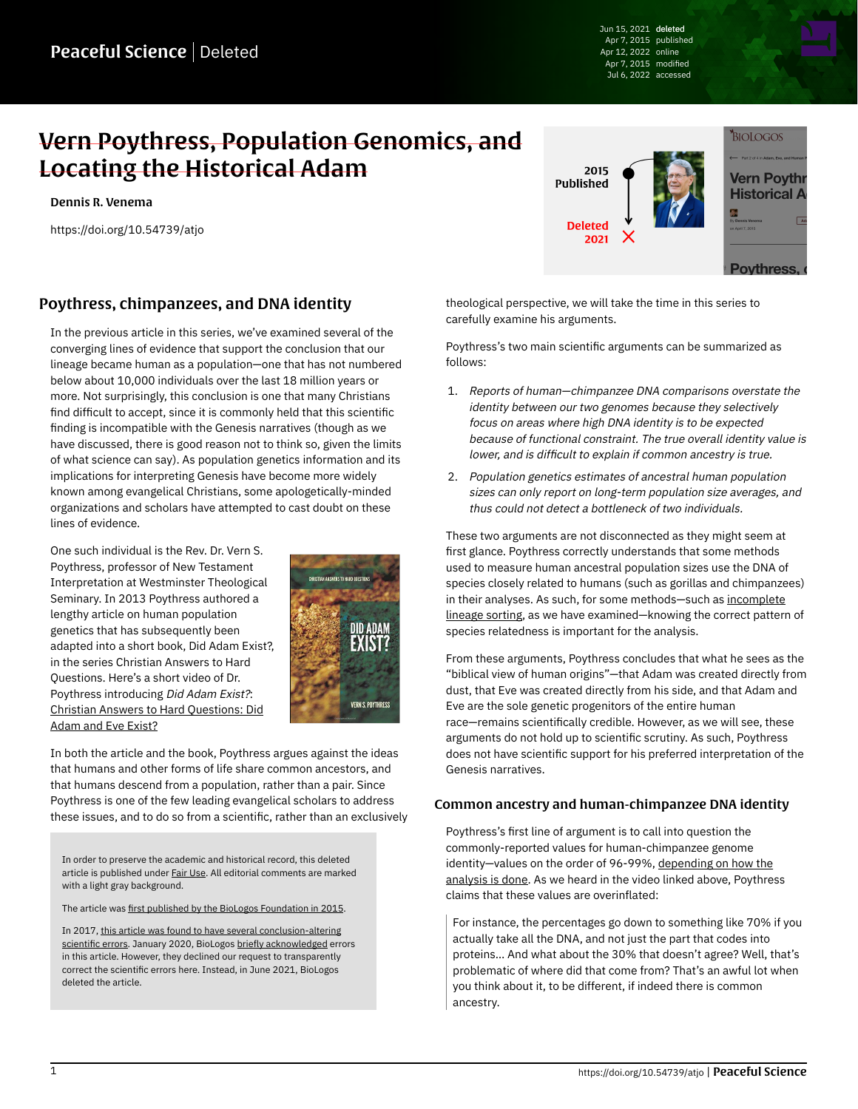Jun 15, 2021 deleted Apr 7, 2015 published Apr 12, 2022 online Apr 7, 2015 modified Jul 6, 2022 accessed

# Vern Poythress, Population Genomics, and Locating the Historical Adam

[Dennis R. Venema](https://peacefulscience.org/authors/dennis-venema/)

<https://doi.org/10.54739/atjo>



## Poythress, chimpanzees, and DNA identity

In the previous article in this series, we've examined several of the converging lines of evidence that support the conclusion that our lineage became human as a population—one that has not numbered below about 10,000 individuals over the last 18 million years or more. Not surprisingly, this conclusion is one that many Christians find difficult to accept, since it is commonly held that this scientific finding is incompatible with the Genesis narratives (though as we have discussed, there is good reason not to think so, given the limits of what science can say). As population genetics information and its implications for interpreting Genesis have become more widely known among evangelical Christians, some apologetically-minded organizations and scholars have attempted to cast doubt on these lines of evidence.

One such individual is the Rev. Dr. Vern S. Poythress, professor of New Testament Interpretation at Westminster Theological Seminary. In 2013 Poythress authored a lengthy article on human population genetics that has subsequently been adapted into a short book, Did Adam Exist?, in the series Christian Answers to Hard Questions. Here's a short video of Dr. Poythress introducing Did Adam Exist?: [Christian Answers to Hard Questions: Did](https://vimeo.com/91327011) [Adam and Eve Exist?](https://vimeo.com/91327011)



In both the article and the book, Poythress argues against the ideas that humans and other forms of life share common ancestors, and that humans descend from a population, rather than a pair. Since Poythress is one of the few leading evangelical scholars to address these issues, and to do so from a scientific, rather than an exclusively

In order to preserve the academic and historical record, this deleted article is published under **Fair Use**. All editorial comments are marked with a light gray background.

The article was [first published by the BioLogos Foundation in 2015](https://web.archive.org/web/20200812100251/https://biologos.org/articles/series/genetics-and-the-historical-adam-responses-to-popular-arguments/adam-eve-and-human-population-genetics).

In 2017, [this article was found to have several conclusion-altering](https://peacefulscience.org/articles/three-stories-on-adam/) [scientific errors](https://peacefulscience.org/articles/three-stories-on-adam/). January 2020, BioLogos [briefly acknowledged](https://biologos.org/articles/truth-seeking-in-science) errors in this article. However, they declined our request to transparently correct the scientific errors here. Instead, in June 2021, BioLogos deleted the article.

theological perspective, we will take the time in this series to carefully examine his arguments.

Poythress's two main scientific arguments can be summarized as follows:

- 1. Reports of human—chimpanzee DNA comparisons overstate the identity between our two genomes because they selectively focus on areas where high DNA identity is to be expected because of functional constraint. The true overall identity value is lower, and is difficult to explain if common ancestry is true.
- 2. Population genetics estimates of ancestral human population sizes can only report on long-term population size averages, and thus could not detect a bottleneck of two individuals.

These two arguments are not disconnected as they might seem at first glance. Poythress correctly understands that some methods used to measure human ancestral population sizes use the DNA of species closely related to humans (such as gorillas and chimpanzees) in their analyses. As such, for some methods-such as [incomplete](https://web.archive.org/web/20201001002024mp_/https://biologos.org/articles/adam-eve-and-human-population-genetics-part-8-coalescence-incomplete-lineag) [lineage sorting,](https://web.archive.org/web/20201001002024mp_/https://biologos.org/articles/adam-eve-and-human-population-genetics-part-8-coalescence-incomplete-lineag) as we have examined—knowing the correct pattern of species relatedness is important for the analysis.

From these arguments, Poythress concludes that what he sees as the "biblical view of human origins"—that Adam was created directly from dust, that Eve was created directly from his side, and that Adam and Eve are the sole genetic progenitors of the entire human race—remains scientifically credible. However, as we will see, these arguments do not hold up to scientific scrutiny. As such, Poythress does not have scientific support for his preferred interpretation of the Genesis narratives.

#### Common ancestry and human-chimpanzee DNA identity

Poythress's first line of argument is to call into question the commonly-reported values for human-chimpanzee genome identity—values on the order of 96-99%, [depending on how the](https://web.archive.org/web/20200106045211/https://biologos.org/articles/intelligent-design-and-common-ancestry-part-1) [analysis is done.](https://web.archive.org/web/20200106045211/https://biologos.org/articles/intelligent-design-and-common-ancestry-part-1) As we heard in the video linked above, Poythress claims that these values are overinflated:

For instance, the percentages go down to something like 70% if you actually take all the DNA, and not just the part that codes into proteins… And what about the 30% that doesn't agree? Well, that's problematic of where did that come from? That's an awful lot when you think about it, to be different, if indeed there is common ancestry.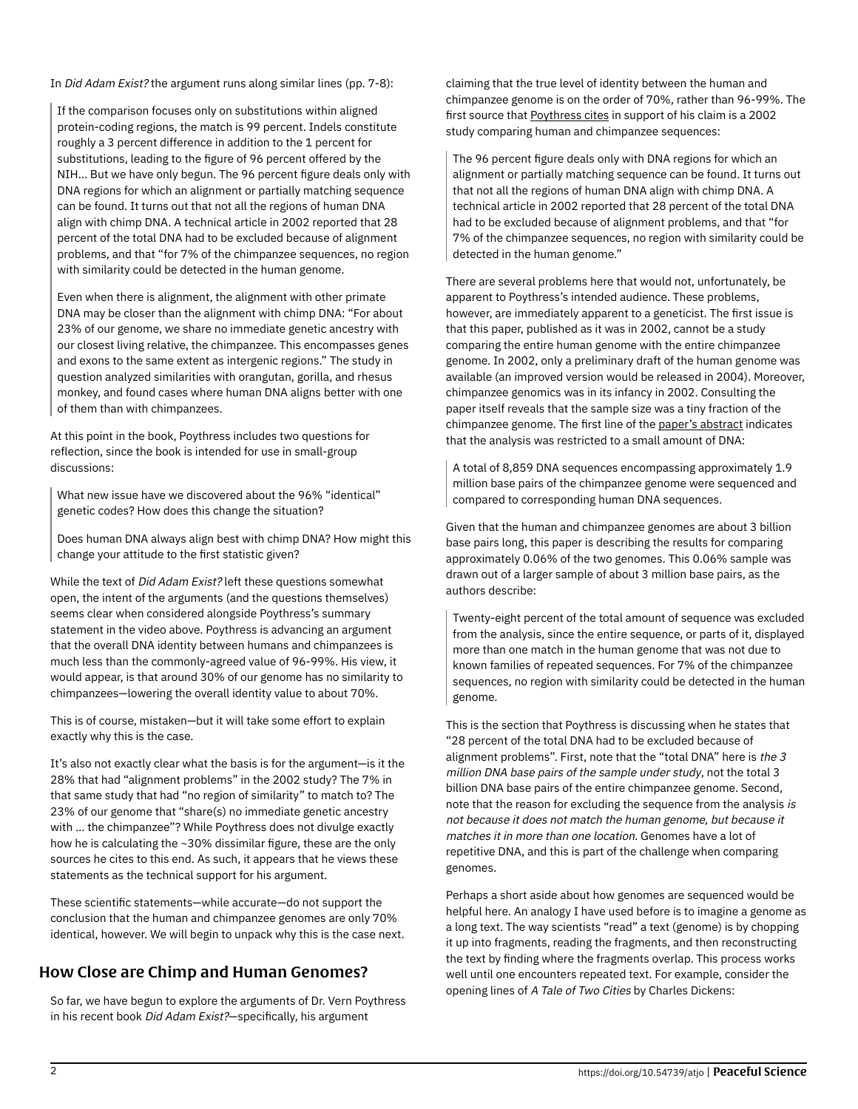In Did Adam Exist? the argument runs along similar lines (pp. 7-8):

If the comparison focuses only on substitutions within aligned protein-coding regions, the match is 99 percent. Indels constitute roughly a 3 percent difference in addition to the 1 percent for substitutions, leading to the figure of 96 percent offered by the NIH… But we have only begun. The 96 percent figure deals only with DNA regions for which an alignment or partially matching sequence can be found. It turns out that not all the regions of human DNA align with chimp DNA. A technical article in 2002 reported that 28 percent of the total DNA had to be excluded because of alignment problems, and that "for 7% of the chimpanzee sequences, no region with similarity could be detected in the human genome.

Even when there is alignment, the alignment with other primate DNA may be closer than the alignment with chimp DNA: "For about 23% of our genome, we share no immediate genetic ancestry with our closest living relative, the chimpanzee. This encompasses genes and exons to the same extent as intergenic regions." The study in question analyzed similarities with orangutan, gorilla, and rhesus monkey, and found cases where human DNA aligns better with one of them than with chimpanzees.

At this point in the book, Poythress includes two questions for reflection, since the book is intended for use in small-group discussions:

What new issue have we discovered about the 96% "identical" genetic codes? How does this change the situation?

Does human DNA always align best with chimp DNA? How might this change your attitude to the first statistic given?

While the text of Did Adam Exist? left these questions somewhat open, the intent of the arguments (and the questions themselves) seems clear when considered alongside Poythress's summary statement in the video above. Poythress is advancing an argument that the overall DNA identity between humans and chimpanzees is much less than the commonly-agreed value of 96-99%. His view, it would appear, is that around 30% of our genome has no similarity to chimpanzees—lowering the overall identity value to about 70%.

This is of course, mistaken—but it will take some effort to explain exactly why this is the case.

It's also not exactly clear what the basis is for the argument—is it the 28% that had "alignment problems" in the 2002 study? The 7% in that same study that had "no region of similarity" to match to? The 23% of our genome that "share(s) no immediate genetic ancestry with … the chimpanzee"? While Poythress does not divulge exactly how he is calculating the ~30% dissimilar figure, these are the only sources he cites to this end. As such, it appears that he views these statements as the technical support for his argument.

These scientific statements—while accurate—do not support the conclusion that the human and chimpanzee genomes are only 70% identical, however. We will begin to unpack why this is the case next.

## How Close are Chimp and Human Genomes?

So far, we have begun to explore the arguments of Dr. Vern Poythress in his recent book Did Adam Exist?-specifically, his argument

claiming that the true level of identity between the human and chimpanzee genome is on the order of 70%, rather than 96-99%. The first source that [Poythress cites](https://doi.org/10.1086/340787) in support of his claim is a 2002 study comparing human and chimpanzee sequences:

The 96 percent figure deals only with DNA regions for which an alignment or partially matching sequence can be found. It turns out that not all the regions of human DNA align with chimp DNA. A technical article in 2002 reported that 28 percent of the total DNA had to be excluded because of alignment problems, and that "for 7% of the chimpanzee sequences, no region with similarity could be detected in the human genome."

There are several problems here that would not, unfortunately, be apparent to Poythress's intended audience. These problems, however, are immediately apparent to a geneticist. The first issue is that this paper, published as it was in 2002, cannot be a study comparing the entire human genome with the entire chimpanzee genome. In 2002, only a preliminary draft of the human genome was available (an improved version would be released in 2004). Moreover, chimpanzee genomics was in its infancy in 2002. Consulting the paper itself reveals that the sample size was a tiny fraction of the chimpanzee genome. The first line of the [paper's abstract](https://doi.org/10.1086/340787) indicates that the analysis was restricted to a small amount of DNA:

A total of 8,859 DNA sequences encompassing approximately 1.9 million base pairs of the chimpanzee genome were sequenced and compared to corresponding human DNA sequences.

Given that the human and chimpanzee genomes are about 3 billion base pairs long, this paper is describing the results for comparing approximately 0.06% of the two genomes. This 0.06% sample was drawn out of a larger sample of about 3 million base pairs, as the authors describe:

Twenty-eight percent of the total amount of sequence was excluded from the analysis, since the entire sequence, or parts of it, displayed more than one match in the human genome that was not due to known families of repeated sequences. For 7% of the chimpanzee sequences, no region with similarity could be detected in the human genome.

This is the section that Poythress is discussing when he states that "28 percent of the total DNA had to be excluded because of alignment problems". First, note that the "total DNA" here is the 3 million DNA base pairs of the sample under study, not the total 3 billion DNA base pairs of the entire chimpanzee genome. Second, note that the reason for excluding the sequence from the analysis is not because it does not match the human genome, but because it matches it in more than one location. Genomes have a lot of repetitive DNA, and this is part of the challenge when comparing genomes.

Perhaps a short aside about how genomes are sequenced would be helpful here. An analogy I have used before is to imagine a genome as a long text. The way scientists "read" a text (genome) is by chopping it up into fragments, reading the fragments, and then reconstructing the text by finding where the fragments overlap. This process works well until one encounters repeated text. For example, consider the opening lines of A Tale of Two Cities by Charles Dickens: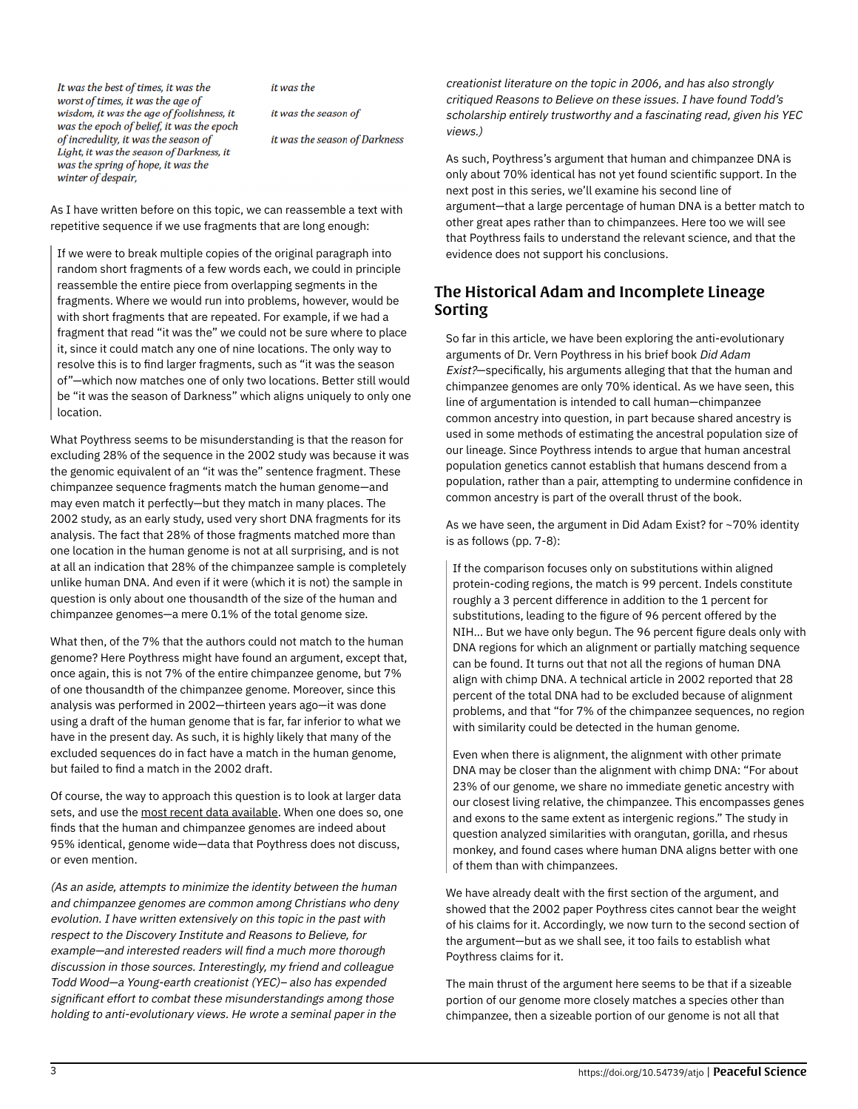It was the best of times, it was the worst of times, it was the age of wisdom, it was the age of foolishness, it was the epoch of belief, it was the epoch of incredulity, it was the season of Light, it was the season of Darkness, it was the spring of hope, it was the winter of despair,

it was the

it was the season of

it was the season of Darkness

As I have written before on this topic, we can reassemble a text with repetitive sequence if we use fragments that are long enough:

If we were to break multiple copies of the original paragraph into random short fragments of a few words each, we could in principle reassemble the entire piece from overlapping segments in the fragments. Where we would run into problems, however, would be with short fragments that are repeated. For example, if we had a fragment that read "it was the" we could not be sure where to place it, since it could match any one of nine locations. The only way to resolve this is to find larger fragments, such as "it was the season of"—which now matches one of only two locations. Better still would be "it was the season of Darkness" which aligns uniquely to only one location.

What Poythress seems to be misunderstanding is that the reason for excluding 28% of the sequence in the 2002 study was because it was the genomic equivalent of an "it was the" sentence fragment. These chimpanzee sequence fragments match the human genome—and may even match it perfectly—but they match in many places. The 2002 study, as an early study, used very short DNA fragments for its analysis. The fact that 28% of those fragments matched more than one location in the human genome is not at all surprising, and is not at all an indication that 28% of the chimpanzee sample is completely unlike human DNA. And even if it were (which it is not) the sample in question is only about one thousandth of the size of the human and chimpanzee genomes—a mere 0.1% of the total genome size.

What then, of the 7% that the authors could not match to the human genome? Here Poythress might have found an argument, except that, once again, this is not 7% of the entire chimpanzee genome, but 7% of one thousandth of the chimpanzee genome. Moreover, since this analysis was performed in 2002—thirteen years ago—it was done using a draft of the human genome that is far, far inferior to what we have in the present day. As such, it is highly likely that many of the excluded sequences do in fact have a match in the human genome, but failed to find a match in the 2002 draft.

Of course, the way to approach this question is to look at larger data sets, and use the [most recent data available](http://www.ensembl.org/index.html). When one does so, one finds that the human and chimpanzee genomes are indeed about 95% identical, genome wide—data that Poythress does not discuss, or even mention.

(As an aside, attempts to minimize the identity between the human and chimpanzee genomes are common among Christians who deny evolution. I have written extensively on this topic in the past with respect to the Discovery Institute and Reasons to Believe, for example—and interested readers will find a much more thorough discussion in those sources. Interestingly, my friend and colleague Todd Wood—a Young-earth creationist (YEC)– also has expended significant effort to combat these misunderstandings among those holding to anti-evolutionary views. He wrote a seminal paper in the

creationist literature on the topic in 2006, and has also strongly critiqued Reasons to Believe on these issues. I have found Todd's scholarship entirely trustworthy and a fascinating read, given his YEC views.)

As such, Poythress's argument that human and chimpanzee DNA is only about 70% identical has not yet found scientific support. In the next post in this series, we'll examine his second line of argument—that a large percentage of human DNA is a better match to other great apes rather than to chimpanzees. Here too we will see that Poythress fails to understand the relevant science, and that the evidence does not support his conclusions.

## The Historical Adam and Incomplete Lineage Sorting

So far in this article, we have been exploring the anti-evolutionary arguments of Dr. Vern Poythress in his brief book Did Adam Exist?—specifically, his arguments alleging that that the human and chimpanzee genomes are only 70% identical. As we have seen, this line of argumentation is intended to call human—chimpanzee common ancestry into question, in part because shared ancestry is used in some methods of estimating the ancestral population size of our lineage. Since Poythress intends to argue that human ancestral population genetics cannot establish that humans descend from a population, rather than a pair, attempting to undermine confidence in common ancestry is part of the overall thrust of the book.

As we have seen, the argument in Did Adam Exist? for ~70% identity is as follows (pp. 7-8):

If the comparison focuses only on substitutions within aligned protein-coding regions, the match is 99 percent. Indels constitute roughly a 3 percent difference in addition to the 1 percent for substitutions, leading to the figure of 96 percent offered by the NIH… But we have only begun. The 96 percent figure deals only with DNA regions for which an alignment or partially matching sequence can be found. It turns out that not all the regions of human DNA align with chimp DNA. A technical article in 2002 reported that 28 percent of the total DNA had to be excluded because of alignment problems, and that "for 7% of the chimpanzee sequences, no region with similarity could be detected in the human genome.

Even when there is alignment, the alignment with other primate DNA may be closer than the alignment with chimp DNA: "For about 23% of our genome, we share no immediate genetic ancestry with our closest living relative, the chimpanzee. This encompasses genes and exons to the same extent as intergenic regions." The study in question analyzed similarities with orangutan, gorilla, and rhesus monkey, and found cases where human DNA aligns better with one of them than with chimpanzees.

We have already dealt with the first section of the argument, and showed that the 2002 paper Poythress cites cannot bear the weight of his claims for it. Accordingly, we now turn to the second section of the argument—but as we shall see, it too fails to establish what Poythress claims for it.

The main thrust of the argument here seems to be that if a sizeable portion of our genome more closely matches a species other than chimpanzee, then a sizeable portion of our genome is not all that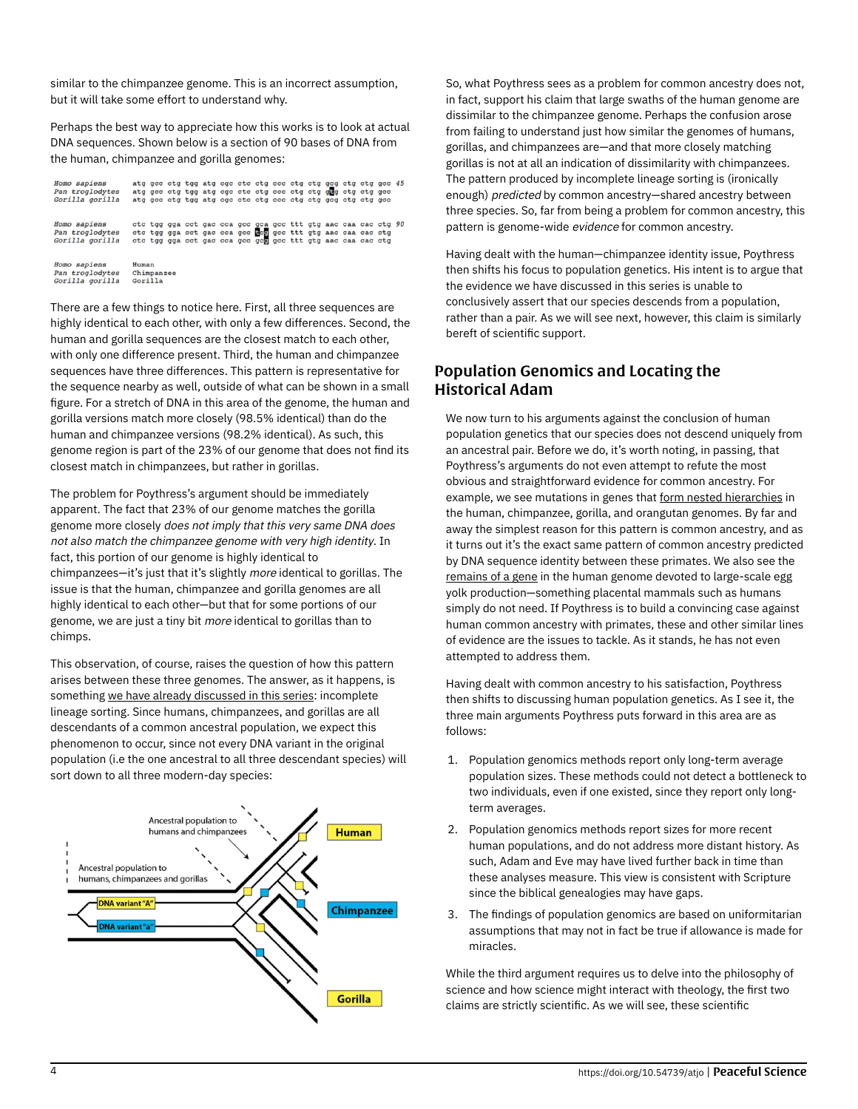similar to the chimpanzee genome. This is an incorrect assumption, but it will take some effort to understand why.

Perhaps the best way to appreciate how this works is to look at actual DNA sequences. Shown below is a section of 90 bases of DNA from the human, chimpanzee and gorilla genomes:

| Homo sapiens<br>Pan troglodytes<br>Gorilla gorilla | atg gcc ctg tgg atg ege etc etg ecc etg etg geg etg etg gcc 45<br>atg gcc ctg tgg atg cgc ctc ctg ccc ctg ctg qua ctg ctg acc<br>atg gcc ctg tgg atg cgc ctc ctg ccc ctg ctg gcg ctg ctg gcc |                       |  |  |  |  |  |  |  |  |  |  |
|----------------------------------------------------|----------------------------------------------------------------------------------------------------------------------------------------------------------------------------------------------|-----------------------|--|--|--|--|--|--|--|--|--|--|
| Homo sapiens<br>Pan troglodytes<br>Gorilla gorilla | ctc tgg gga cct gac cca gcc gca gcc ttt gtg aac caa cac ctg 90<br>ctc tgg gga cct gac cca gcc ec gcc ttt gtg aac caa cac ctg<br>ctc tgg gga cet gae eea gee gee gee ttt gtg aae caa cae etg  |                       |  |  |  |  |  |  |  |  |  |  |
| Homo sapiens<br>Pan troglodytes<br>Gorilla gorilla | Human                                                                                                                                                                                        | Chimpanzee<br>Gorilla |  |  |  |  |  |  |  |  |  |  |

There are a few things to notice here. First, all three sequences are highly identical to each other, with only a few differences. Second, the human and gorilla sequences are the closest match to each other, with only one difference present. Third, the human and chimpanzee sequences have three differences. This pattern is representative for the sequence nearby as well, outside of what can be shown in a small figure. For a stretch of DNA in this area of the genome, the human and gorilla versions match more closely (98.5% identical) than do the human and chimpanzee versions (98.2% identical). As such, this genome region is part of the 23% of our genome that does not find its closest match in chimpanzees, but rather in gorillas.

The problem for Poythress's argument should be immediately apparent. The fact that 23% of our genome matches the gorilla genome more closely does not imply that this very same DNA does not also match the chimpanzee genome with very high identity. In fact, this portion of our genome is highly identical to chimpanzees—it's just that it's slightly more identical to gorillas. The issue is that the human, chimpanzee and gorilla genomes are all highly identical to each other—but that for some portions of our genome, we are just a tiny bit more identical to gorillas than to chimps.

This observation, of course, raises the question of how this pattern arises between these three genomes. The answer, as it happens, is something [we have already discussed in this series](https://peacefulscience.org/prints/deleted/adam-eve-and-human-population-genetics/): incomplete lineage sorting. Since humans, chimpanzees, and gorillas are all descendants of a common ancestral population, we expect this phenomenon to occur, since not every DNA variant in the original population (i.e the one ancestral to all three descendant species) will sort down to all three modern-day species:



So, what Poythress sees as a problem for common ancestry does not, in fact, support his claim that large swaths of the human genome are dissimilar to the chimpanzee genome. Perhaps the confusion arose from failing to understand just how similar the genomes of humans, gorillas, and chimpanzees are—and that more closely matching gorillas is not at all an indication of dissimilarity with chimpanzees. The pattern produced by incomplete lineage sorting is (ironically enough) predicted by common ancestry—shared ancestry between three species. So, far from being a problem for common ancestry, this pattern is genome-wide evidence for common ancestry.

Having dealt with the human—chimpanzee identity issue, Poythress then shifts his focus to population genetics. His intent is to argue that the evidence we have discussed in this series is unable to conclusively assert that our species descends from a population, rather than a pair. As we will see next, however, this claim is similarly bereft of scientific support.

### Population Genomics and Locating the Historical Adam

We now turn to his arguments against the conclusion of human population genetics that our species does not descend uniquely from an ancestral pair. Before we do, it's worth noting, in passing, that Poythress's arguments do not even attempt to refute the most obvious and straightforward evidence for common ancestry. For example, we see mutations in genes that [form nested hierarchies](https://peacefulscience.org/prints/deleted/adam-eve-and-human-population-genetics/#coalescence-incomplete-lineage-sorting-and-great-ape-ancestral-population-sizes) in the human, chimpanzee, gorilla, and orangutan genomes. By far and away the simplest reason for this pattern is common ancestry, and as it turns out it's the exact same pattern of common ancestry predicted by DNA sequence identity between these primates. We also see the [remains of a gene](https://biologos.org/articles/is-there-junk-in-your-genome-exploring-pseudogenes) in the human genome devoted to large-scale egg yolk production—something placental mammals such as humans simply do not need. If Poythress is to build a convincing case against human common ancestry with primates, these and other similar lines of evidence are the issues to tackle. As it stands, he has not even attempted to address them.

Having dealt with common ancestry to his satisfaction, Poythress then shifts to discussing human population genetics. As I see it, the three main arguments Poythress puts forward in this area are as follows:

- 1. Population genomics methods report only long-term average population sizes. These methods could not detect a bottleneck to two individuals, even if one existed, since they report only longterm averages.
- 2. Population genomics methods report sizes for more recent human populations, and do not address more distant history. As such, Adam and Eve may have lived further back in time than these analyses measure. This view is consistent with Scripture since the biblical genealogies may have gaps.
- 3. The findings of population genomics are based on uniformitarian assumptions that may not in fact be true if allowance is made for miracles.

While the third argument requires us to delve into the philosophy of science and how science might interact with theology, the first two claims are strictly scientific. As we will see, these scientific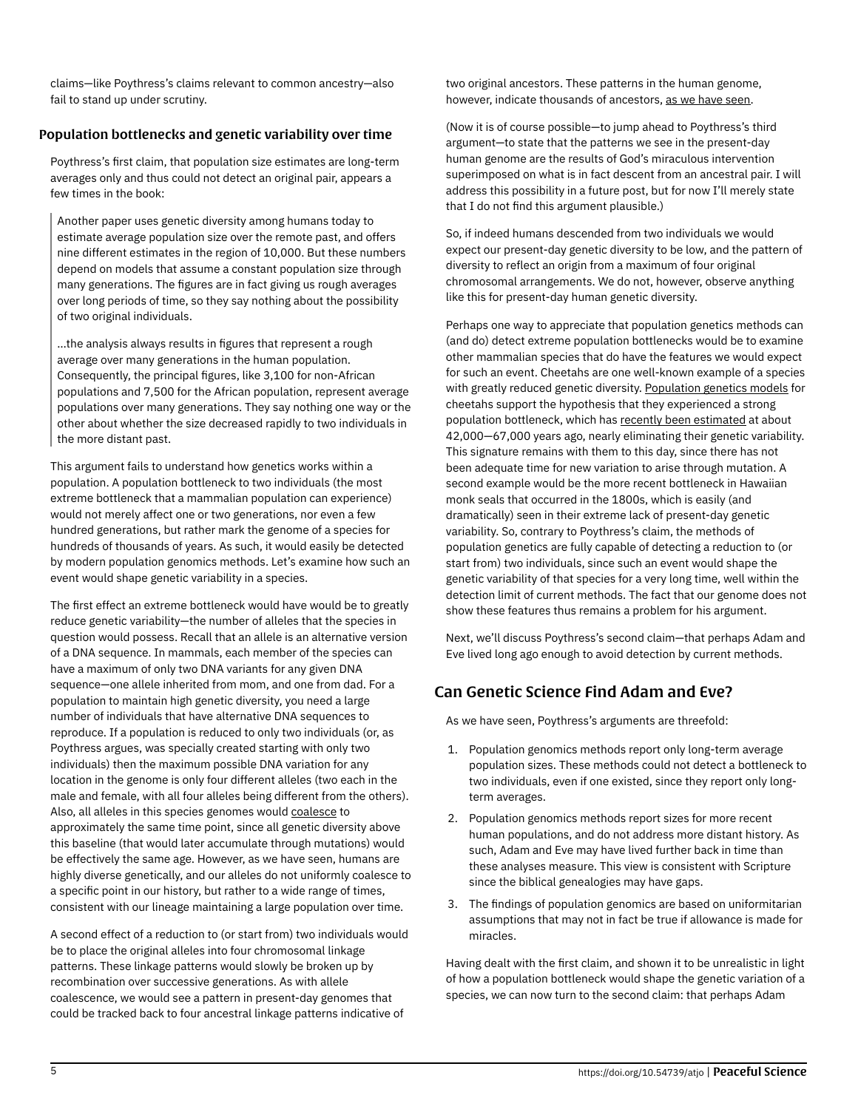claims—like Poythress's claims relevant to common ancestry—also fail to stand up under scrutiny.

#### Population bottlenecks and genetic variability over time

Poythress's first claim, that population size estimates are long-term averages only and thus could not detect an original pair, appears a few times in the book:

Another paper uses genetic diversity among humans today to estimate average population size over the remote past, and offers nine different estimates in the region of 10,000. But these numbers depend on models that assume a constant population size through many generations. The figures are in fact giving us rough averages over long periods of time, so they say nothing about the possibility of two original individuals.

…the analysis always results in figures that represent a rough average over many generations in the human population. Consequently, the principal figures, like 3,100 for non-African populations and 7,500 for the African population, represent average populations over many generations. They say nothing one way or the other about whether the size decreased rapidly to two individuals in the more distant past.

This argument fails to understand how genetics works within a population. A population bottleneck to two individuals (the most extreme bottleneck that a mammalian population can experience) would not merely affect one or two generations, nor even a few hundred generations, but rather mark the genome of a species for hundreds of thousands of years. As such, it would easily be detected by modern population genomics methods. Let's examine how such an event would shape genetic variability in a species.

The first effect an extreme bottleneck would have would be to greatly reduce genetic variability—the number of alleles that the species in question would possess. Recall that an allele is an alternative version of a DNA sequence. In mammals, each member of the species can have a maximum of only two DNA variants for any given DNA sequence—one allele inherited from mom, and one from dad. For a population to maintain high genetic diversity, you need a large number of individuals that have alternative DNA sequences to reproduce. If a population is reduced to only two individuals (or, as Poythress argues, was specially created starting with only two individuals) then the maximum possible DNA variation for any location in the genome is only four different alleles (two each in the male and female, with all four alleles being different from the others). Also, all alleles in this species genomes would [coalesce](https://peacefulscience.org/prints/deleted/adam-eve-and-human-population-genetics/#coalescence-incomplete-lineage-sorting-and-great-ape-ancestral-population-sizes) to approximately the same time point, since all genetic diversity above this baseline (that would later accumulate through mutations) would be effectively the same age. However, as we have seen, humans are highly diverse genetically, and our alleles do not uniformly coalesce to a specific point in our history, but rather to a wide range of times, consistent with our lineage maintaining a large population over time.

A second effect of a reduction to (or start from) two individuals would be to place the original alleles into four chromosomal linkage patterns. These linkage patterns would slowly be broken up by recombination over successive generations. As with allele coalescence, we would see a pattern in present-day genomes that could be tracked back to four ancestral linkage patterns indicative of

two original ancestors. These patterns in the human genome, however, indicate thousands of ancestors, [as we have seen.](https://peacefulscience.org/prints/deleted/adam-eve-and-human-population-genetics/#delsignature-in-the-snpsdel)

(Now it is of course possible—to jump ahead to Poythress's third argument—to state that the patterns we see in the present-day human genome are the results of God's miraculous intervention superimposed on what is in fact descent from an ancestral pair. I will address this possibility in a future post, but for now I'll merely state that I do not find this argument plausible.)

So, if indeed humans descended from two individuals we would expect our present-day genetic diversity to be low, and the pattern of diversity to reflect an origin from a maximum of four original chromosomal arrangements. We do not, however, observe anything like this for present-day human genetic diversity.

Perhaps one way to appreciate that population genetics methods can (and do) detect extreme population bottlenecks would be to examine other mammalian species that do have the features we would expect for such an event. Cheetahs are one well-known example of a species with greatly reduced genetic diversity. [Population genetics models](https://www.ncbi.nlm.nih.gov/pmc/articles/PMC46261) for cheetahs support the hypothesis that they experienced a strong population bottleneck, which has [recently been estimated](https://www.ncbi.nlm.nih.gov/pubmed/21214655) at about 42,000—67,000 years ago, nearly eliminating their genetic variability. This signature remains with them to this day, since there has not been adequate time for new variation to arise through mutation. A second example would be the more recent bottleneck in Hawaiian monk seals that occurred in the 1800s, which is easily (and dramatically) seen in their extreme lack of present-day genetic variability. So, contrary to Poythress's claim, the methods of population genetics are fully capable of detecting a reduction to (or start from) two individuals, since such an event would shape the genetic variability of that species for a very long time, well within the detection limit of current methods. The fact that our genome does not show these features thus remains a problem for his argument.

Next, we'll discuss Poythress's second claim—that perhaps Adam and Eve lived long ago enough to avoid detection by current methods.

## Can Genetic Science Find Adam and Eve?

As we have seen, Poythress's arguments are threefold:

- 1. Population genomics methods report only long-term average population sizes. These methods could not detect a bottleneck to two individuals, even if one existed, since they report only longterm averages.
- 2. Population genomics methods report sizes for more recent human populations, and do not address more distant history. As such, Adam and Eve may have lived further back in time than these analyses measure. This view is consistent with Scripture since the biblical genealogies may have gaps.
- 3. The findings of population genomics are based on uniformitarian assumptions that may not in fact be true if allowance is made for miracles.

Having dealt with the first claim, and shown it to be unrealistic in light of how a population bottleneck would shape the genetic variation of a species, we can now turn to the second claim: that perhaps Adam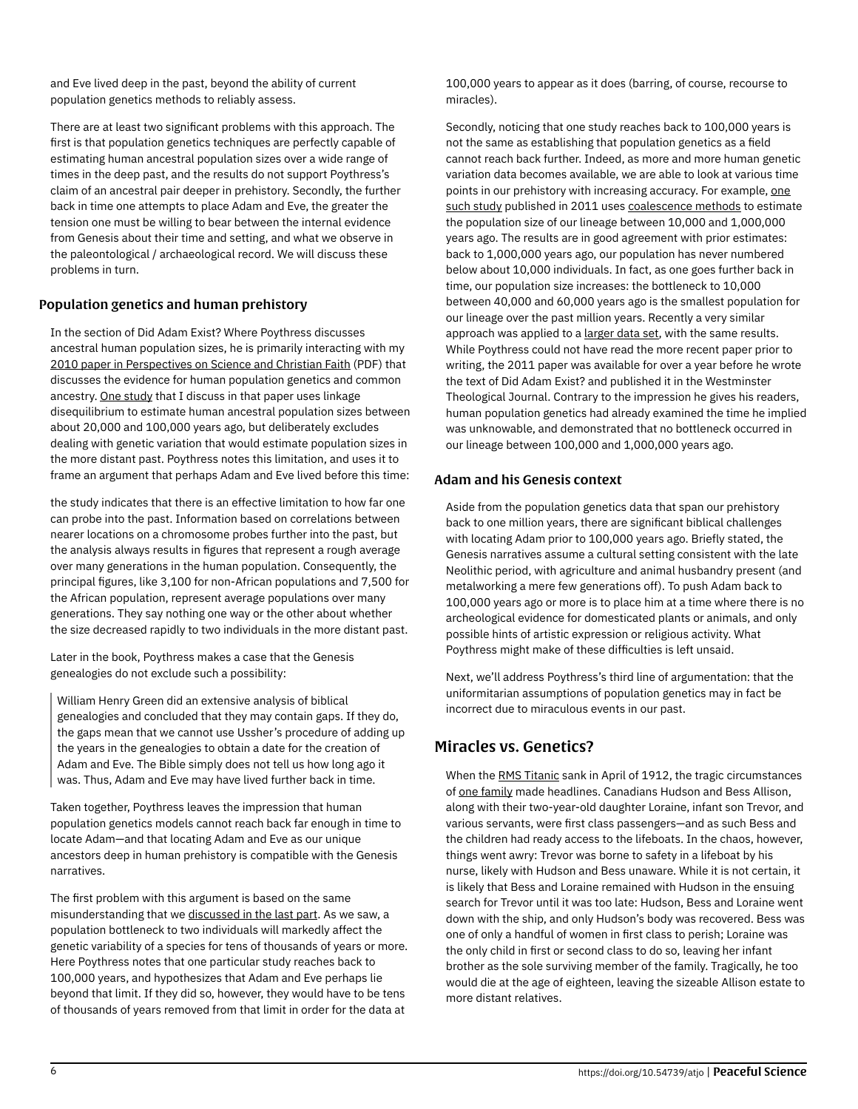and Eve lived deep in the past, beyond the ability of current population genetics methods to reliably assess.

There are at least two significant problems with this approach. The first is that population genetics techniques are perfectly capable of estimating human ancestral population sizes over a wide range of times in the deep past, and the results do not support Poythress's claim of an ancestral pair deeper in prehistory. Secondly, the further back in time one attempts to place Adam and Eve, the greater the tension one must be willing to bear between the internal evidence from Genesis about their time and setting, and what we observe in the paleontological / archaeological record. We will discuss these problems in turn.

#### Population genetics and human prehistory

In the section of Did Adam Exist? Where Poythress discusses ancestral human population sizes, he is primarily interacting with my [2010 paper in Perspectives on Science and Christian Faith](http://www.asa3.org/ASA/PSCF/2010/PSCF9-10Venema.pdf) (PDF) that discusses the evidence for human population genetics and common ancestry. [One study](https://doi.org/10.1101/gr.6023607) that I discuss in that paper uses linkage disequilibrium to estimate human ancestral population sizes between about 20,000 and 100,000 years ago, but deliberately excludes dealing with genetic variation that would estimate population sizes in the more distant past. Poythress notes this limitation, and uses it to frame an argument that perhaps Adam and Eve lived before this time:

the study indicates that there is an effective limitation to how far one can probe into the past. Information based on correlations between nearer locations on a chromosome probes further into the past, but the analysis always results in figures that represent a rough average over many generations in the human population. Consequently, the principal figures, like 3,100 for non-African populations and 7,500 for the African population, represent average populations over many generations. They say nothing one way or the other about whether the size decreased rapidly to two individuals in the more distant past.

Later in the book, Poythress makes a case that the Genesis genealogies do not exclude such a possibility:

William Henry Green did an extensive analysis of biblical genealogies and concluded that they may contain gaps. If they do, the gaps mean that we cannot use Ussher's procedure of adding up the years in the genealogies to obtain a date for the creation of Adam and Eve. The Bible simply does not tell us how long ago it was. Thus, Adam and Eve may have lived further back in time.

Taken together, Poythress leaves the impression that human population genetics models cannot reach back far enough in time to locate Adam—and that locating Adam and Eve as our unique ancestors deep in human prehistory is compatible with the Genesis narratives.

The first problem with this argument is based on the same misunderstanding that we [discussed in the last part.](https://biologos.org/articles/adam-eve-and-human-population-genetics-part-12-addressing-critics-poythress) As we saw, a population bottleneck to two individuals will markedly affect the genetic variability of a species for tens of thousands of years or more. Here Poythress notes that one particular study reaches back to 100,000 years, and hypothesizes that Adam and Eve perhaps lie beyond that limit. If they did so, however, they would have to be tens of thousands of years removed from that limit in order for the data at

100,000 years to appear as it does (barring, of course, recourse to miracles).

Secondly, noticing that one study reaches back to 100,000 years is not the same as establishing that population genetics as a field cannot reach back further. Indeed, as more and more human genetic variation data becomes available, we are able to look at various time points in our prehistory with increasing accuracy. For example, [one](https://www.ncbi.nlm.nih.gov/pmc/articles/PMC3154645) [such study](https://www.ncbi.nlm.nih.gov/pmc/articles/PMC3154645) published in 2011 uses [coalescence methods](https://web.archive.org/web/20200106045211/https://biologos.org/articles/adam-eve-and-human-population-genetics-part-8-coalescence-incomplete-lineag) to estimate the population size of our lineage between 10,000 and 1,000,000 years ago. The results are in good agreement with prior estimates: back to 1,000,000 years ago, our population has never numbered below about 10,000 individuals. In fact, as one goes further back in time, our population size increases: the bottleneck to 10,000 between 40,000 and 60,000 years ago is the smallest population for our lineage over the past million years. Recently a very similar approach was applied to a [larger data set](https://www.ncbi.nlm.nih.gov/pmc/articles/PMC4116295), with the same results. While Poythress could not have read the more recent paper prior to writing, the 2011 paper was available for over a year before he wrote the text of Did Adam Exist? and published it in the Westminster Theological Journal. Contrary to the impression he gives his readers, human population genetics had already examined the time he implied was unknowable, and demonstrated that no bottleneck occurred in our lineage between 100,000 and 1,000,000 years ago.

#### Adam and his Genesis context

Aside from the population genetics data that span our prehistory back to one million years, there are significant biblical challenges with locating Adam prior to 100,000 years ago. Briefly stated, the Genesis narratives assume a cultural setting consistent with the late Neolithic period, with agriculture and animal husbandry present (and metalworking a mere few generations off). To push Adam back to 100,000 years ago or more is to place him at a time where there is no archeological evidence for domesticated plants or animals, and only possible hints of artistic expression or religious activity. What Poythress might make of these difficulties is left unsaid.

Next, we'll address Poythress's third line of argumentation: that the uniformitarian assumptions of population genetics may in fact be incorrect due to miraculous events in our past.

## Miracles vs. Genetics?

When the [RMS Titanic](https://en.wikipedia.org/wiki/Sinking_of_the_RMS_Titanic) sank in April of 1912, the tragic circumstances of [one family](https://en.wikipedia.org/wiki/Allison_family) made headlines. Canadians Hudson and Bess Allison, along with their two-year-old daughter Loraine, infant son Trevor, and various servants, were first class passengers—and as such Bess and the children had ready access to the lifeboats. In the chaos, however, things went awry: Trevor was borne to safety in a lifeboat by his nurse, likely with Hudson and Bess unaware. While it is not certain, it is likely that Bess and Loraine remained with Hudson in the ensuing search for Trevor until it was too late: Hudson, Bess and Loraine went down with the ship, and only Hudson's body was recovered. Bess was one of only a handful of women in first class to perish; Loraine was the only child in first or second class to do so, leaving her infant brother as the sole surviving member of the family. Tragically, he too would die at the age of eighteen, leaving the sizeable Allison estate to more distant relatives.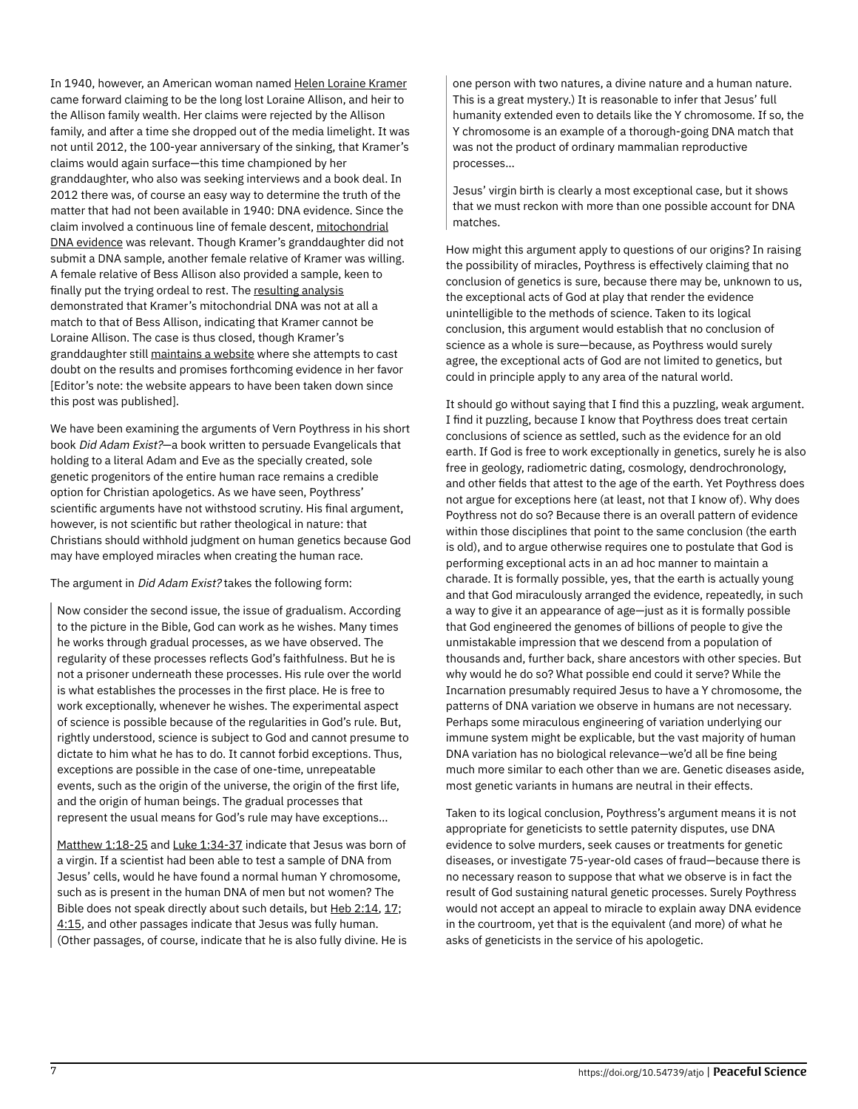In 1940, however, an American woman named [Helen Loraine Kramer](https://www.telegraph.co.uk/history/10581757/Lost-child-of-the-Titanic-and-the-fraud-that-haunted-her-family.html) came forward claiming to be the long lost Loraine Allison, and heir to the Allison family wealth. Her claims were rejected by the Allison family, and after a time she dropped out of the media limelight. It was not until 2012, the 100-year anniversary of the sinking, that Kramer's claims would again surface—this time championed by her granddaughter, who also was seeking interviews and a book deal. In 2012 there was, of course an easy way to determine the truth of the matter that had not been available in 1940: DNA evidence. Since the claim involved a continuous line of female descent, [mitochondrial](https://biologos.org/articles/mitochondrial-eve-y-chromosome-adam-and-reasons-to-believe) [DNA evidence](https://biologos.org/articles/mitochondrial-eve-y-chromosome-adam-and-reasons-to-believe) was relevant. Though Kramer's granddaughter did not submit a DNA sample, another female relative of Kramer was willing. A female relative of Bess Allison also provided a sample, keen to finally put the trying ordeal to rest. The [resulting analysis](https://web.archive.org/web/20200106045211/https://findingloraine.wordpress.com/mtdna) demonstrated that Kramer's mitochondrial DNA was not at all a match to that of Bess Allison, indicating that Kramer cannot be Loraine Allison. The case is thus closed, though Kramer's granddaughter still [maintains a website](https://web.archive.org/web/20200106045211/http://www.titanicslastmystery.com) where she attempts to cast doubt on the results and promises forthcoming evidence in her favor [Editor's note: the website appears to have been taken down since this post was published].

We have been examining the arguments of Vern Poythress in his short book Did Adam Exist?—a book written to persuade Evangelicals that holding to a literal Adam and Eve as the specially created, sole genetic progenitors of the entire human race remains a credible option for Christian apologetics. As we have seen, Poythress' scientific arguments have not withstood scrutiny. His final argument, however, is not scientific but rather theological in nature: that Christians should withhold judgment on human genetics because God may have employed miracles when creating the human race.

The argument in Did Adam Exist? takes the following form:

Now consider the second issue, the issue of gradualism. According to the picture in the Bible, God can work as he wishes. Many times he works through gradual processes, as we have observed. The regularity of these processes reflects God's faithfulness. But he is not a prisoner underneath these processes. His rule over the world is what establishes the processes in the first place. He is free to work exceptionally, whenever he wishes. The experimental aspect of science is possible because of the regularities in God's rule. But, rightly understood, science is subject to God and cannot presume to dictate to him what he has to do. It cannot forbid exceptions. Thus, exceptions are possible in the case of one-time, unrepeatable events, such as the origin of the universe, the origin of the first life, and the origin of human beings. The gradual processes that represent the usual means for God's rule may have exceptions…

[Matthew 1:18-25](https://www.biblegateway.com/passage/?search=Matthew%201:18-25&version=NIV&src=tools) and [Luke 1:34-37](https://www.biblegateway.com/passage/?search=Luke%201:34-37&version=NIV&src=tools) indicate that Jesus was born of a virgin. If a scientist had been able to test a sample of DNA from Jesus' cells, would he have found a normal human Y chromosome, such as is present in the human DNA of men but not women? The Bible does not speak directly about such details, but [Heb 2:14](https://www.biblegateway.com/passage/?search=Heb%202:14&version=NIV&src=tools), [17](https://www.biblegateway.com/passage/?search=Heb%202:17&version=NIV&src=tools); [4:15](https://www.biblegateway.com/passage/?search=Heb%204:15&version=NIV&src=tools), and other passages indicate that Jesus was fully human. (Other passages, of course, indicate that he is also fully divine. He is

one person with two natures, a divine nature and a human nature. This is a great mystery.) It is reasonable to infer that Jesus' full humanity extended even to details like the Y chromosome. If so, the Y chromosome is an example of a thorough-going DNA match that was not the product of ordinary mammalian reproductive processes…

Jesus' virgin birth is clearly a most exceptional case, but it shows that we must reckon with more than one possible account for DNA matches.

How might this argument apply to questions of our origins? In raising the possibility of miracles, Poythress is effectively claiming that no conclusion of genetics is sure, because there may be, unknown to us, the exceptional acts of God at play that render the evidence unintelligible to the methods of science. Taken to its logical conclusion, this argument would establish that no conclusion of science as a whole is sure—because, as Poythress would surely agree, the exceptional acts of God are not limited to genetics, but could in principle apply to any area of the natural world.

It should go without saying that I find this a puzzling, weak argument. I find it puzzling, because I know that Poythress does treat certain conclusions of science as settled, such as the evidence for an old earth. If God is free to work exceptionally in genetics, surely he is also free in geology, radiometric dating, cosmology, dendrochronology, and other fields that attest to the age of the earth. Yet Poythress does not argue for exceptions here (at least, not that I know of). Why does Poythress not do so? Because there is an overall pattern of evidence within those disciplines that point to the same conclusion (the earth is old), and to argue otherwise requires one to postulate that God is performing exceptional acts in an ad hoc manner to maintain a charade. It is formally possible, yes, that the earth is actually young and that God miraculously arranged the evidence, repeatedly, in such a way to give it an appearance of age—just as it is formally possible that God engineered the genomes of billions of people to give the unmistakable impression that we descend from a population of thousands and, further back, share ancestors with other species. But why would he do so? What possible end could it serve? While the Incarnation presumably required Jesus to have a Y chromosome, the patterns of DNA variation we observe in humans are not necessary. Perhaps some miraculous engineering of variation underlying our immune system might be explicable, but the vast majority of human DNA variation has no biological relevance—we'd all be fine being much more similar to each other than we are. Genetic diseases aside, most genetic variants in humans are neutral in their effects.

Taken to its logical conclusion, Poythress's argument means it is not appropriate for geneticists to settle paternity disputes, use DNA evidence to solve murders, seek causes or treatments for genetic diseases, or investigate 75-year-old cases of fraud—because there is no necessary reason to suppose that what we observe is in fact the result of God sustaining natural genetic processes. Surely Poythress would not accept an appeal to miracle to explain away DNA evidence in the courtroom, yet that is the equivalent (and more) of what he asks of geneticists in the service of his apologetic.